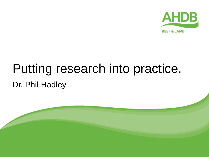

# Putting research into practice. Dr. Phil Hadley

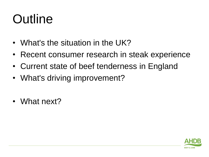# **Outline**

- What's the situation in the UK?
- Recent consumer research in steak experience
- Current state of beef tenderness in England
- What's driving improvement?
- What next?

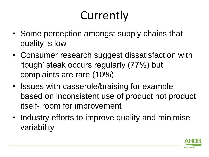# Currently

- Some perception amongst supply chains that quality is low
- Consumer research suggest dissatisfaction with 'tough' steak occurs regularly (77%) but complaints are rare (10%)
- Issues with casserole/braising for example based on inconsistent use of product not product itself- room for improvement
- Industry efforts to improve quality and minimise variability

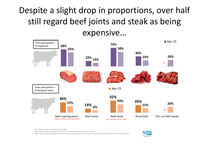#### Despite a slight drop in proportions, over half still regard beef joints and steak as being expensive…



Base: All respondents in Meat 3 section (1026)

EQ15: Please select how you perceive the price of the following cuts of meat and fish?

EQ16: Please could you indicate if you feel the price that you pay for these types of meat and fish offers good value for money or not?

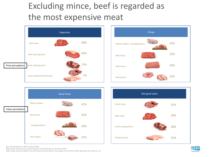#### Excluding mince, beef is regarded as the most expensive meat









Base: All respondents in Meat 3 section (1026)

EQ15: Please select how you perceive the price of the following cuts of meat and fish?

EQ16: Please could you indicate if you feel the price that you pay for these types of meat and fish offers good value for money or not?

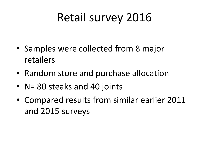## Retail survey 2016

- Samples were collected from 8 major retailers
- Random store and purchase allocation
- N= 80 steaks and 40 joints
- Compared results from similar earlier 2011 and 2015 surveys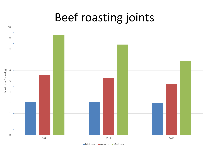#### Beef roasting joints

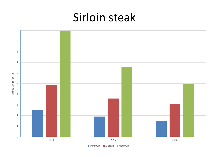#### Sirloin steak



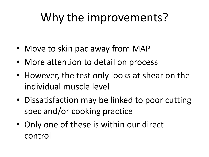# Why the improvements?

- Move to skin pac away from MAP
- More attention to detail on process
- However, the test only looks at shear on the individual muscle level
- Dissatisfaction may be linked to poor cutting spec and/or cooking practice
- Only one of these is within our direct control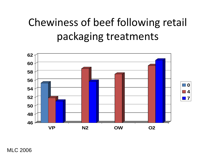### Chewiness of beef following retail packaging treatments



MLC 2006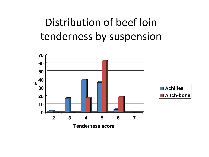### Distribution of beef loin tenderness by suspension

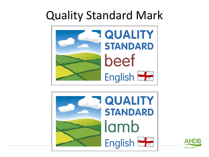## Quality Standard Mark





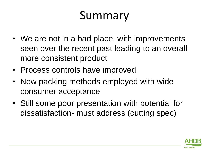## Summary

- We are not in a bad place, with improvements seen over the recent past leading to an overall more consistent product
- Process controls have improved
- New packing methods employed with wide consumer acceptance
- Still some poor presentation with potential for dissatisfaction- must address (cutting spec)